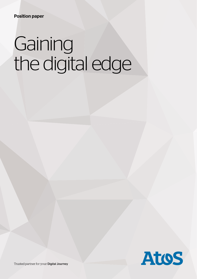# **Gaining** the digital edge



Trusted partner for your Digital Journey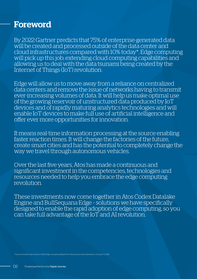### Foreword

By 2022 Gartner predicts that 75% of enterprise-generated data will be created and processed outside of the data center and cloud infrastructures compared with 10% today\*. Edge computing will pick up this job; extending cloud computing capabilities and allowing us to deal with the data tsunami being created by the Internet of Things (IoT) revolution.

Edge will allow us to move away from a reliance on centralized data centers and remove the issue of networks having to transmit ever-increasing volumes of data. It will help us make optimal use of the growing reservoir of unstructured data produced by IoT devices and of rapidly maturing analytics technologies and will enable IoT devices to make full use of artificial intelligence and offer ever more opportunities for innovation.

It means real-time information processing at the source enabling faster reaction times. It will change the factories of the future, create smart cities and has the potential to completely change the way we travel through autonomous vehicles.

Over the last five years, Atos has made a continuous and significant investment in the competencies, technologies and resources needed to help you embrace the edge computing revolution.

These investments now come together in Atos Codex Datalake Engine and BullSequana Edge – solutions we have specifically designed to enable the rapid adoption of edge computing, so you can take full advantage of the IoT and AI revolution.

\* Source: Smarter with Gartner, What Edge Computing Means for Infrastructure and Operations, October 3, 2018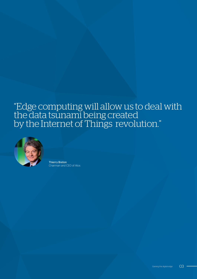### "Edge computing will allow us to deal with the data tsunami being created by the Internet of Things revolution."



Thierry Breton Chairman and CEO of Atos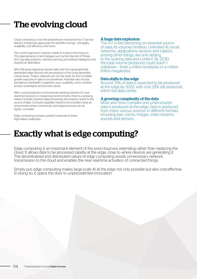### The evolving cloud

Cloud computing is now the predominant mechanism for IT service delivery. Enterprises appreciate the benefits it brings – the agility, scalability, cost efficiency and more.

The current approach, however, needs to evolve in the long run. The rapid advance in technologies such as the Internet of Things (IoT), big data analytics, machine learning and artificial intelligence (AI) requires an alternative.

Why? Because ingesting massive data sets from geographically distributed edge devices and processing it in the cloud generates critical issues. Today's networks are not yet ready for the incredible growth expected in data to be transferred. Potential risks include low latency, bandwidth congestion, poor scalability, not to mention privacy, sovereignty and security issues.

With crucial production environments needing real-time (or near real-time) reactions in closed-loop environments, there is a pressing need to transfer real-time data processing and analysis nearer to the source of data. Compute capability needs to be provided inside an environment where connectivity and response times can be tightly controlled.

Edge computing provides a perfect response to these high-stakes challenges.

A huge data explosion<br>The IoT is fast becoming an essential source of data; its volumes limitless. Unlimited AI, social networks, applications, sensors and captors, among other things, are only adding to the soaring data and content. By 2030, the total volume produced could reach 1 yottabyte – that's a trillion terabytes or a million trillion megabytes.

#### Data shifts to the edge

Around 75% of data is expected to be produced at the edge by 2020, with only 25% still produced within the data center.

#### A growing complexity of the data

More and more complex and unstructured data is produced at the edge. Data is produced from many various sources in different formats including text, voices, images, video streams, sounds and sensors.

### Exactly what is edge computing?

Edge computing is an important element of the post-cloud era, extending rather than replacing the cloud. It allows data to be processed rapidly at the edge, close to where devices are generating it. The decentralized and distributed nature of edge computing avoids unnecessary network transmission to the cloud and enables the near real-time actuation of connected things.

Simply put, edge computing makes large-scale AI at the edge not only possible but also cost-effective. In doing so, it opens the door to unprecedented innovation.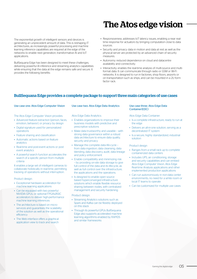### The Atos edge vision

The exponential growth of intelligent sensors and devices is generating an unprecedent amount of data. This is reshaping IT architectures, as increasingly powerful processing and machine learning inference capabilities are required at the edge of the networks to enable next generation, transformative AI and IoT applications.

BullSequana Edge has been designed to meet these challenges, delivering powerful AI inference and streaming analytics capabilities while ensuring that the data at the edge remains safe and secure. It provides the following benefits:

#### • Responsiveness: addresses IoT latency issues, enabling a near realtime response for actuators by bringing computation close to data sources.

- Security and privacy: data in motion and data at rest as well as the physical server are protected by an advanced chain of security measures.
- Autonomy: reduced dependence on cloud and datacentre availability and connectivity.
- Interactivity: enables the real-time analysis of multi-source and multiformat data. It can communicate through radio or GSM or Wi-Fi networks. It is designed to run in factories, shop floors, airports or on transportation such as ships, and can be mounted in a 2U form factor rack.

#### BullSequana Edge provides a complete package to support three main categories of use cases

#### Use case one: Atos Edge Computer Vision

The Atos Edge Computer Vision provides:

- Advanced feature extraction (person, faces, emotion, behavior), or privacy by design
- Digital signature used for personalized operations
- Feature sharing and classification
- Automatic actions based on feature analytics
- Real-time and post-event actions or post event analytics
- A powerful search function accelerates the search of a specific person from multiple criteria

It enables a large set of intelligent cameras to collaborate holistically in real-time, permitting tracking of operations without interruption.

#### Product design:

- Exceptional hardware acceleration for machine learning applications
- Can be equipped with two powerful NIVIDIA GPUs, or optional FPGAs/ASIC accelerators to deliver high-performance machine learning inferences
- The architecture is based on microservices and guarantees the scalability of the solution as well as the operational efficiency
- The Web interface offers a graphical application view to track and search

#### Use case two: Atos Edge Data Analytics

Atos Edge Data Analytics:

- Enables organizations to improve their business models with predictive and prescriptive solutions
- Make data trustworthy and useable with strong data governance within a robust data architecture to ensure data quality, security and privacy
- Manage the complete data life-cycle from data ingestion, data cleansing, data blending, data discovery, audit, data lineage and policy enforcement
- Enable compatibility and minimizing risk – by providing on-site data storage to give full control of the data and its lifecycle, as well as full control over the infrastructure, the applications and the operations.
- Is designed to enable open source based hyperconverged infrastructure solutions which enable flexible resource sharing between nodes, with centralized management and security hardening

#### Product design:

- Streaming Analytics solutions such as Spark and Kafka can be flexibly deployed on this stack
- Through its powerful GPUs BullSequana Edge also supports accelerated machine learning algorithms enabled by RAPIDS and similar frameworks

#### Use case three: Atos Edge Data Container(EDC)

Atos Edge Data Container:

- Is a complete infrastructure, ready to run at the edge
- Delivers an all-in-one solution, serving as a decentralized IT system
- Is a secure, highly standardized, industrial solution

#### Product design

- Ranges from a small rack up to complete containerized data centers
- Includes UPS, air conditioning, storage and security capabilities and can embed Atos Edge Computer Vision, Atos Edge Real-time Analysis applications and other implemented production applications
- Can run autonomously in non-data center environments; no need for a white room or local IT teams to operate
- Can be customized for multiple use cases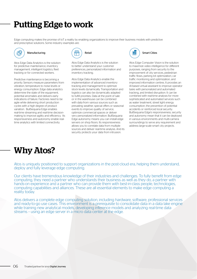### Putting Edge to work

Edge computing makes the promise of IoT a reality by enabling organizations to improve their business models with predictive and prescriptive solutions. Some industry examples are:



#### Manufacturing

Atos Edge Data Analytics is the solution for predictive maintenance, inventory management, intelligent logistics, fleet tracking or for connected workers.

Predictive maintenance is becoming a priority. Sensors measure parameters from vibration, temperature to noise levels or energy consumption. Edge data analytics determine the state of the equipment, potential anomalies and delivers early indications of failure. Factories need to be agile while delivering short production cycles with a high degree of product variation. BullSequana Edge enables real-time streaming and real-time decisionmaking to improve agility and efficiency. Its responsiveness and autonomy enable realtime analytics with limited connectivity.



Atos Edge Data Analytics is the solution to better understand your customer preferences, personalized information and inventory tracking.

Atos Edge Data Analytics enable the implementation of advanced inventory tracking and management to optimize stock levels dynamically. Transportation and logistics can also be dynamically adapted to fulfill priorities. Data at the point of sale or in the warehouse can be combined with data from various sources such as prevailing weather, special offers or seasonal events to improve quality of service, optimize commercial spaces or deliver very personalized information. BullSequana Edge autonomy means you can install edge servers on shop floors. Its responsiveness allows you to correlate data from multiple sources and deliver real-time analysis. And its security protects your data from intrusion.



Atos Edge Computer Vision is the solution to maximize video intelligence for different purposes, ranging from security to the improvement of city services, pedestrian traffic flows, parking lot optimization, car traffic monitoring and optimization, and improved information centres. It provides an AI-based virtual assistant to improve operator tasks with personalized and automated tracking, and limited disruption. It can be combined with real-time analysis for more sophisticated and automated services such as water treatment, street light energy consumption, the prevention of potential accidents or reinforced local security. BullSequana Edge's responsiveness, security and autonomy mean that it can be deployed in various environments and multi-camera surroundings to serve any requirement and address large-scale smart city projects.

### Why Atos?

Atos is uniquely positioned to support organizations in the post-cloud era, helping them understand, deploy and fully leverage edge computing.

Our clients have tremendous knowledge of their industries and challenges. To fully benefit from edge computing, they need a partner who understands their business as well as they do, a partner with hands-on experience and a partner who can provide them with best-in-class people, technologies, computing capabilities and alliances. These are all essential elements to make edge computing a reality today.

Atos delivers a complete edge computing solution, including hardware, software, professional services and ready-to-go use cases. This environment is a prerequisite to consolidate data in a data lake engine while training new analytical models, developing inference models and analyzing real-time data streams – using an edge server in a micro data center at the edge.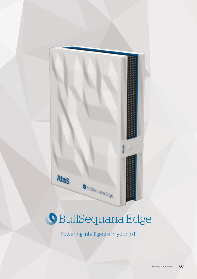# BullSequana Edge

O BullSequana Edge

Atos

Powering Intelligence in your IoT